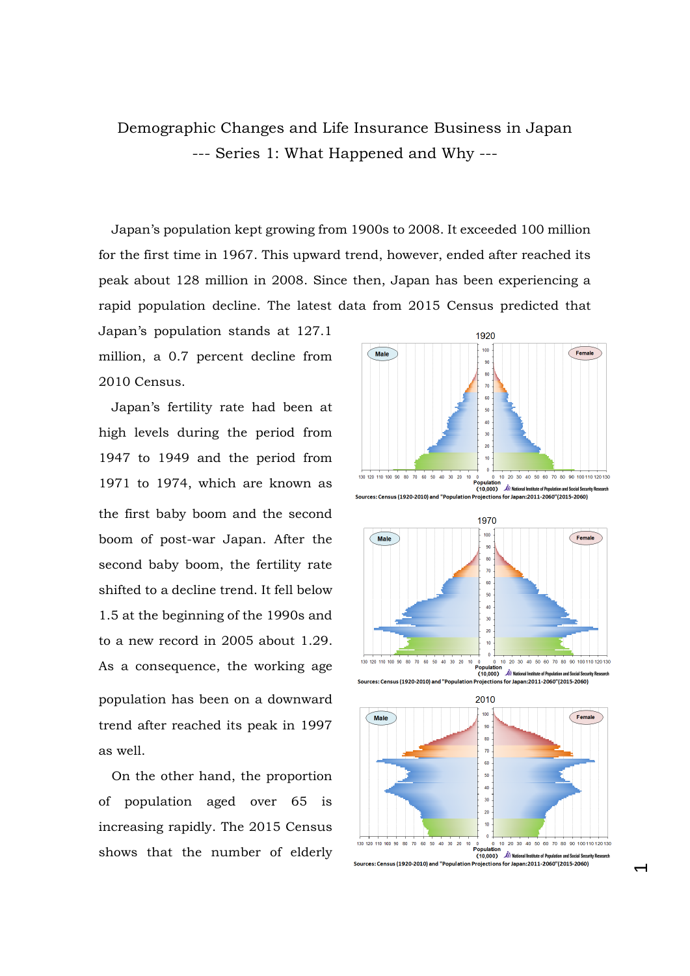## Demographic Changes and Life Insurance Business in Japan --- Series 1: What Happened and Why ---

Japan's population kept growing from 1900s to 2008. It exceeded 100 million for the first time in 1967. This upward trend, however, ended after reached its peak about 128 million in 2008. Since then, Japan has been experiencing a rapid population decline. The latest data from 2015 Census predicted that

Japan's population stands at 127.1 million, a 0.7 percent decline from 2010 Census.

Japan's fertility rate had been at high levels during the period from 1947 to 1949 and the period from 1971 to 1974, which are known as the first baby boom and the second boom of post-war Japan. After the second baby boom, the fertility rate shifted to a decline trend. It fell below 1.5 at the beginning of the 1990s and to a new record in 2005 about 1.29. As a consequence, the working age population has been on a downward trend after reached its peak in 1997 as well.

On the other hand, the proportion of population aged over 65 is increasing rapidly. The 2015 Census shows that the number of elderly



 $\overline{\phantom{0}}$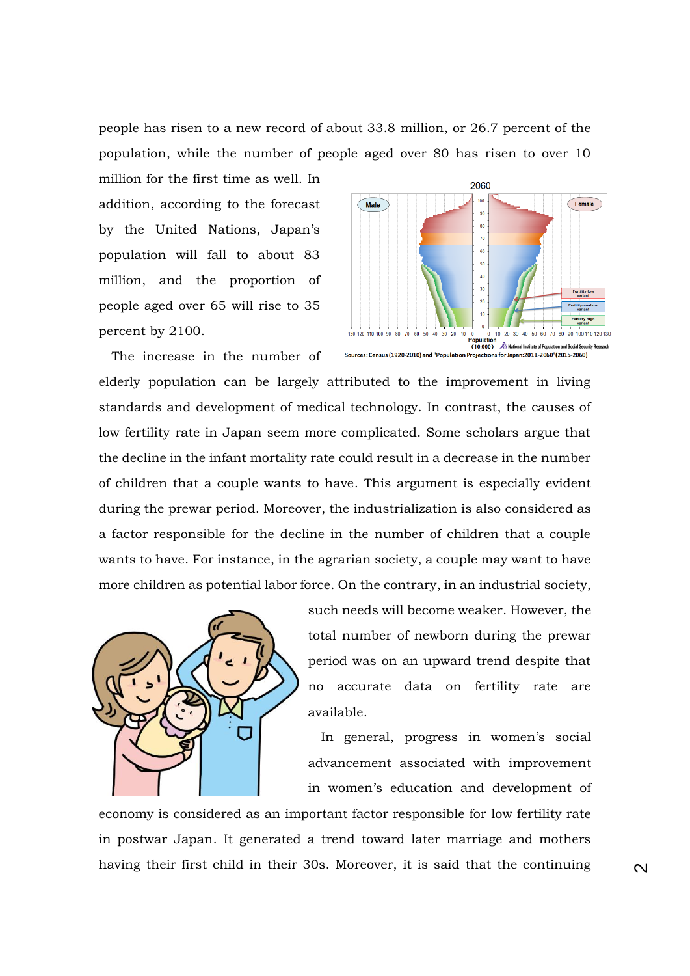people has risen to a new record of about 33.8 million, or 26.7 percent of the population, while the number of people aged over 80 has risen to over 10

million for the first time as well. In addition, according to the forecast by the United Nations, Japan's population will fall to about 83 million, and the proportion of people aged over 65 will rise to 35 percent by 2100.



The increase in the number of elderly population can be largely attributed to the improvement in living standards and development of medical technology. In contrast, the causes of low fertility rate in Japan seem more complicated. Some scholars argue that the decline in the infant mortality rate could result in a decrease in the number of children that a couple wants to have. This argument is especially evident during the prewar period. Moreover, the industrialization is also considered as a factor responsible for the decline in the number of children that a couple wants to have. For instance, in the agrarian society, a couple may want to have more children as potential labor force. On the contrary, in an industrial society,



such needs will become weaker. However, the total number of newborn during the prewar period was on an upward trend despite that no accurate data on fertility rate are available.

In general, progress in women's social advancement associated with improvement in women's education and development of

economy is considered as an important factor responsible for low fertility rate in postwar Japan. It generated a trend toward later marriage and mothers having their first child in their 30s. Moreover, it is said that the continuing